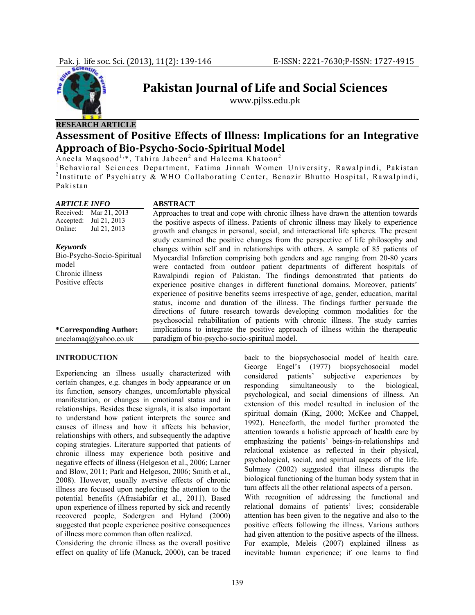

# **Pakistan Journal of Life and Social Sciences**

www.pjlss.edu.pk

## **RESEARCH ARTICLE**

## **Assessment of Positive Effects of Illness: Implications for an Integrative Approach of BioPsychoSocioSpiritual Model**

Aneela Maqsood<sup>1,\*</sup>, Tahira Jabeen<sup>2</sup> and Haleema Khatoon<sup>2</sup>

<sup>1</sup>Behavioral Sciences Department, Fatima Jinnah Women University, Rawalpindi, Pakistan <sup>2</sup>Institute of Psychiatry & WHO Collaborating Center, Benazir Bhutto Hospital, Rawalpindi, Pakistan

| <b>ARTICLE INFO</b>                                                                           | <b>ABSTRACT</b>                                                                                                                                                                                                                                                                                                                                                                                                                                                                                                                                                                                                                                                                                                                                             |  |
|-----------------------------------------------------------------------------------------------|-------------------------------------------------------------------------------------------------------------------------------------------------------------------------------------------------------------------------------------------------------------------------------------------------------------------------------------------------------------------------------------------------------------------------------------------------------------------------------------------------------------------------------------------------------------------------------------------------------------------------------------------------------------------------------------------------------------------------------------------------------------|--|
| Received:<br>Mar 21, 2013<br>Jul 21, 2013<br>Accepted:<br>Jul 21, 2013<br>Online:             | Approaches to treat and cope with chronic illness have drawn the attention towards<br>the positive aspects of illness. Patients of chronic illness may likely to experience<br>growth and changes in personal, social, and interactional life spheres. The present                                                                                                                                                                                                                                                                                                                                                                                                                                                                                          |  |
| <b>Keywords</b><br>Bio-Psycho-Socio-Spiritual<br>model<br>Chronic illness<br>Positive effects | study examined the positive changes from the perspective of life philosophy and<br>changes within self and in relationships with others. A sample of 85 patients of<br>Myocardial Infarction comprising both genders and age ranging from 20-80 years<br>were contacted from outdoor patient departments of different hospitals of<br>Rawalpindi region of Pakistan. The findings demonstrated that patients do<br>experience positive changes in different functional domains. Moreover, patients'<br>experience of positive benefits seems irrespective of age, gender, education, marital<br>status, income and duration of the illness. The findings further persuade the<br>directions of future research towards developing common modalities for the |  |
| <i>*Corresponding Author:</i><br>aneelamaq@yahoo.co.uk                                        | psychosocial rehabilitation of patients with chronic illness. The study carries<br>implications to integrate the positive approach of illness within the therapeutic<br>paradigm of bio-psycho-socio-spiritual model.                                                                                                                                                                                                                                                                                                                                                                                                                                                                                                                                       |  |

#### **INTRODUCTION**

Experiencing an illness usually characterized with certain changes, e.g. changes in body appearance or on its function, sensory changes, uncomfortable physical manifestation, or changes in emotional status and in relationships. Besides these signals, it is also important to understand how patient interprets the source and causes of illness and how it affects his behavior, relationships with others, and subsequently the adaptive coping strategies. Literature supported that patients of chronic illness may experience both positive and negative effects of illness (Helgeson et al., 2006; Larner and Blow, 2011; Park and Helgeson, 2006; Smith et al., 2008). However, usually aversive effects of chronic illness are focused upon neglecting the attention to the potential benefits (Afrasiabifar et al., 2011). Based upon experience of illness reported by sick and recently recovered people, Sodergren and Hyland (2000) suggested that people experience positive consequences of illness more common than often realized.

Considering the chronic illness as the overall positive effect on quality of life (Manuck, 2000), can be traced

back to the biopsychosocial model of health care. George Engel's (1977) biopsychosocial model considered patients' subjective experiences by responding simultaneously to the biological, psychological, and social dimensions of illness. An extension of this model resulted in inclusion of the spiritual domain (King, 2000; McKee and Chappel, 1992). Henceforth, the model further promoted the attention towards a holistic approach of health care by emphasizing the patients' beings-in-relationships and relational existence as reflected in their physical, psychological, social, and spiritual aspects of the life. Sulmasy (2002) suggested that illness disrupts the biological functioning of the human body system that in turn affects all the other relational aspects of a person. With recognition of addressing the functional and

relational domains of patients' lives; considerable attention has been given to the negative and also to the positive effects following the illness. Various authors had given attention to the positive aspects of the illness. For example, Meleis (2007) explained illness as inevitable human experience; if one learns to find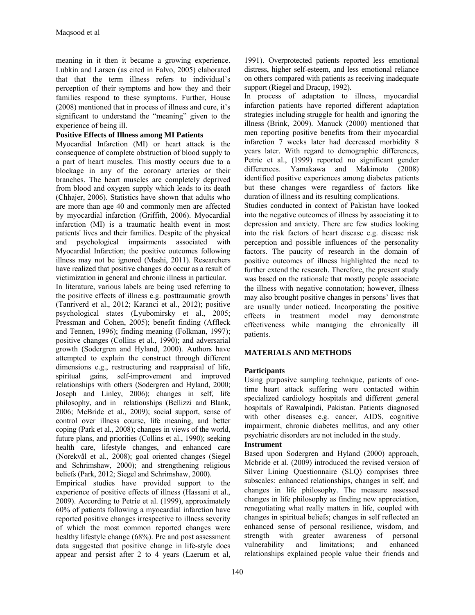meaning in it then it became a growing experience. Lubkin and Larsen (as cited in Falvo, 2005) elaborated that that the term illness refers to individual's perception of their symptoms and how they and their families respond to these symptoms. Further, House (2008) mentioned that in process of illness and cure, it's significant to understand the "meaning" given to the experience of being ill.

## **Positive Effects of Illness among MI Patients**

Myocardial Infarction (MI) or heart attack is the consequence of complete obstruction of blood supply to a part of heart muscles. This mostly occurs due to a blockage in any of the coronary arteries or their branches. The heart muscles are completely deprived from blood and oxygen supply which leads to its death (Chhajer, 2006). Statistics have shown that adults who are more than age 40 and commonly men are affected by myocardial infarction (Griffith, 2006). Myocardial infarction (MI) is a traumatic health event in most patients' lives and their families. Despite of the physical and psychological impairments associated with Myocardial Infarction; the positive outcomes following illness may not be ignored (Mashi, 2011). Researchers have realized that positive changes do occur as a result of victimization in general and chronic illness in particular.

In literature, various labels are being used referring to the positive effects of illness e.g. posttraumatic growth (Tanriverd et al., 2012; Karanci et al., 2012); positive psychological states (Lyubomirsky et al., 2005; Pressman and Cohen, 2005); benefit finding (Affleck and Tennen, 1996); finding meaning (Folkman, 1997); positive changes (Collins et al., 1990); and adversarial growth (Sodergren and Hyland, 2000). Authors have attempted to explain the construct through different dimensions e.g., restructuring and reappraisal of life, spiritual gains, self-improvement and improved relationships with others (Sodergren and Hyland, 2000; Joseph and Linley, 2006); changes in self, life philosophy, and in relationships (Bellizzi and Blank, 2006; McBride et al., 2009); social support, sense of control over illness course, life meaning, and better coping (Park et al., 2008); changes in views of the world, future plans, and priorities (Collins et al., 1990); seeking health care, lifestyle changes, and enhanced care (Norekvål et al., 2008); goal oriented changes (Siegel and Schrimshaw, 2000); and strengthening religious beliefs (Park, 2012; Siegel and Schrimshaw, 2000).

Empirical studies have provided support to the experience of positive effects of illness (Hassani et al., 2009). According to Petrie et al. (1999), approximately 60% of patients following a myocardial infarction have reported positive changes irrespective to illness severity of which the most common reported changes were healthy lifestyle change (68%). Pre and post assessment data suggested that positive change in life-style does appear and persist after 2 to 4 years (Laerum et al,

1991). Overprotected patients reported less emotional distress, higher self-esteem, and less emotional reliance on others compared with patients as receiving inadequate support (Riegel and Dracup, 1992).

In process of adaptation to illness, myocardial infarction patients have reported different adaptation strategies including struggle for health and ignoring the illness (Brink, 2009). Manuck (2000) mentioned that men reporting positive benefits from their myocardial infarction 7 weeks later had decreased morbidity 8 years later. With regard to demographic differences, Petrie et al., (1999) reported no significant gender differences. Yamakawa and Makimoto (2008) identified positive experiences among diabetes patients but these changes were regardless of factors like duration of illness and its resulting complications.

Studies conducted in context of Pakistan have looked into the negative outcomes of illness by associating it to depression and anxiety. There are few studies looking into the risk factors of heart disease e.g. disease risk perception and possible influences of the personality factors. The paucity of research in the domain of positive outcomes of illness highlighted the need to further extend the research. Therefore, the present study was based on the rationale that mostly people associate the illness with negative connotation; however, illness may also brought positive changes in persons' lives that are usually under noticed. Incorporating the positive effects in treatment model may demonstrate effectiveness while managing the chronically ill patients.

#### **MATERIALS AND METHODS**

#### **Participants**

Using purposive sampling technique, patients of onetime heart attack suffering were contacted within specialized cardiology hospitals and different general hospitals of Rawalpindi, Pakistan. Patients diagnosed with other diseases e.g. cancer, AIDS, cognitive impairment, chronic diabetes mellitus, and any other psychiatric disorders are not included in the study.

## **Instrument**

Based upon Sodergren and Hyland (2000) approach, Mcbride et al. (2009) introduced the revised version of Silver Lining Questionnaire (SLQ) comprises three subscales: enhanced relationships, changes in self, and changes in life philosophy. The measure assessed changes in life philosophy as finding new appreciation, renegotiating what really matters in life, coupled with changes in spiritual beliefs; changes in self reflected an enhanced sense of personal resilience, wisdom, and strength with greater awareness of personal vulnerability and limitations; and enhanced relationships explained people value their friends and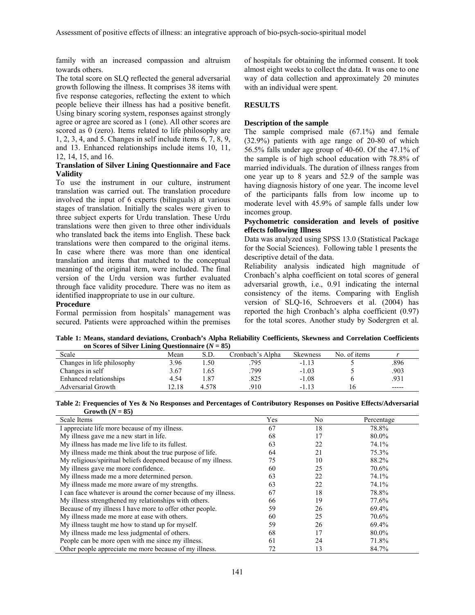family with an increased compassion and altruism towards others.

The total score on SLQ reflected the general adversarial growth following the illness. It comprises 38 items with five response categories, reflecting the extent to which people believe their illness has had a positive benefit. Using binary scoring system, responses against strongly agree or agree are scored as 1 (one). All other scores are scored as 0 (zero). Items related to life philosophy are 1, 2, 3, 4, and 5. Changes in self include items 6, 7, 8, 9, and 13. Enhanced relationships include items 10, 11, 12, 14, 15, and 16.

## **Translation of Silver Lining Questionnaire and Face Validity**

To use the instrument in our culture, instrument translation was carried out. The translation procedure involved the input of 6 experts (bilinguals) at various stages of translation. Initially the scales were given to three subject experts for Urdu translation. These Urdu translations were then given to three other individuals who translated back the items into English. These back translations were then compared to the original items. In case where there was more than one identical translation and items that matched to the conceptual meaning of the original item, were included. The final version of the Urdu version was further evaluated through face validity procedure. There was no item as identified inappropriate to use in our culture.

## **Procedure**

Formal permission from hospitals' management was secured. Patients were approached within the premises

of hospitals for obtaining the informed consent. It took almost eight weeks to collect the data. It was one to one way of data collection and approximately 20 minutes with an individual were spent.

#### **RESULTS**

#### **Description of the sample**

The sample comprised male (67.1%) and female (32.9%) patients with age range of 20-80 of which 56.5% falls under age group of 40-60. Of the 47.1% of the sample is of high school education with 78.8% of married individuals. The duration of illness ranges from one year up to 8 years and 52.9 of the sample was having diagnosis history of one year. The income level of the participants falls from low income up to moderate level with 45.9% of sample falls under low incomes group.

#### **Psychometric consideration and levels of positive effects following Illness**

Data was analyzed using SPSS 13.0 (Statistical Package for the Social Sciences). Following table 1 presents the descriptive detail of the data.

Reliability analysis indicated high magnitude of Cronbach's alpha coefficient on total scores of general adversarial growth, i.e., 0.91 indicating the internal consistency of the items. Comparing with English version of SLQ-16, Schroevers et al. (2004) has reported the high Cronbach's alpha coefficient (0.97) for the total scores. Another study by Sodergren et al.

**Table 1: Means, standard deviations, Cronbach's Alpha Reliability Coefficients, Skewness and Correlation Coefficients**  on Scores of Silver Lining Questionnaire  $(N = 85)$ 

| Scale                      | Mean  | S.D.  | Cronbach's Alpha | <b>Skewness</b> | No. of items |             |
|----------------------------|-------|-------|------------------|-----------------|--------------|-------------|
| Changes in life philosophy | 3.96  | .50   | 795              | $-1.13$         |              | .896        |
| Changes in self            | 3.67  | .65   | 799              | $-1.03$         |              | .903        |
| Enhanced relationships     | 4.54  | . 87  | .825             | $-1.08$         |              | .931        |
| Adversarial Growth         | 12.18 | 4.578 | 910              | $-11^2$         |              | $- - - - -$ |

**Table 2: Frequencies of Yes & No Responses and Percentages of Contributory Responses on Positive Effects/Adversarial**  Growth  $(N = 85)$ 

| Scale Items                                                     | Yes | No | Percentage |
|-----------------------------------------------------------------|-----|----|------------|
| I appreciate life more because of my illness.                   | 67  | 18 | 78.8%      |
| My illness gave me a new start in life.                         | 68  | 17 | 80.0%      |
| My illness has made me live life to its fullest.                | 63  | 22 | 74.1%      |
| My illness made me think about the true purpose of life.        | 64  | 21 | 75.3%      |
| My religious/spiritual beliefs deepened because of my illness.  | 75  | 10 | 88.2%      |
| My illness gave me more confidence.                             | 60  | 25 | 70.6%      |
| My illness made me a more determined person.                    | 63  | 22 | 74.1%      |
| My illness made me more aware of my strengths.                  | 63  | 22 | 74.1%      |
| I can face whatever is around the corner because of my illness. | 67  | 18 | 78.8%      |
| My illness strengthened my relationships with others.           | 66  | 19 | 77.6%      |
| Because of my illness I have more to offer other people.        | 59  | 26 | 69.4%      |
| My illness made me more at ease with others.                    | 60  | 25 | 70.6%      |
| My illness taught me how to stand up for myself.                | 59  | 26 | 69.4%      |
| My illness made me less judgmental of others.                   | 68  | 17 | 80.0%      |
| People can be more open with me since my illness.               | 61  | 24 | 71.8%      |
| Other people appreciate me more because of my illness.          | 72  | 13 | 84.7%      |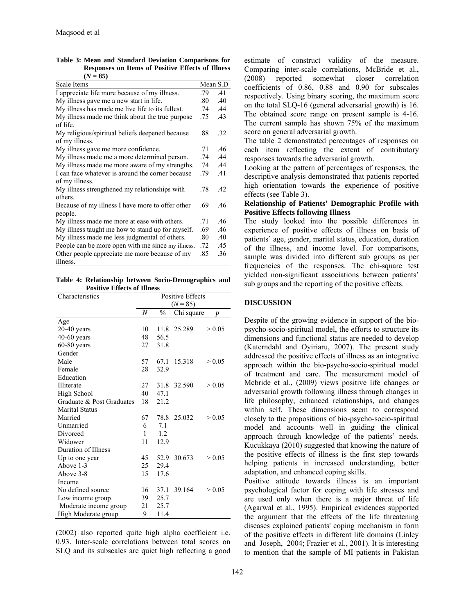| $(N = 85)$                                                         |          |     |
|--------------------------------------------------------------------|----------|-----|
| Scale Items                                                        | Mean S.D |     |
| I appreciate life more because of my illness.                      | .79      | .41 |
| My illness gave me a new start in life.                            | .80      | .40 |
| My illness has made me live life to its fullest.                   | .74      | .44 |
| My illness made me think about the true purpose<br>of life.        | .75      | .43 |
| My religious/spiritual beliefs deepened because<br>of my illness.  | .88      | .32 |
| My illness gave me more confidence.                                | .71      | .46 |
| My illness made me a more determined person.                       | .74      | .44 |
| My illness made me more aware of my strengths.                     | .74      | .44 |
| I can face whatever is around the corner because<br>of my illness. | .79      | .41 |
| My illness strengthened my relationships with<br>others            | .78      | .42 |
| Because of my illness I have more to offer other<br>people.        | .69      | .46 |
| My illness made me more at ease with others.                       | .71      | .46 |
| My illness taught me how to stand up for myself.                   | .69      | .46 |
| My illness made me less judgmental of others.                      | .80      | .40 |
| People can be more open with me since my illness.                  | .72      | .45 |
| Other people appreciate me more because of my<br>illness.          | .85      | .36 |

**Table 3: Mean and Standard Deviation Comparisons for Responses on Items of Positive Effects of Illness** 

**Table 4: Relationship between Socio-Demographics and Positive Effects of Illness** 

| Characteristics           | <b>Positive Effects</b> |               |            |                  |
|---------------------------|-------------------------|---------------|------------|------------------|
|                           | $(N = 85)$              |               |            |                  |
|                           | N                       | $\frac{0}{0}$ | Chi square | $\boldsymbol{p}$ |
| Age                       |                         |               |            |                  |
| $20-40$ years             | 10                      | 11.8          | 25.289     | > 0.05           |
| $40-60$ years             | 48                      | 56.5          |            |                  |
| $60-80$ years             | 27                      | 31.8          |            |                  |
| Gender                    |                         |               |            |                  |
| Male                      | 57                      | 67.1          | 15.318     | > 0.05           |
| Female                    | 28                      | 32.9          |            |                  |
| Education                 |                         |               |            |                  |
| Illiterate                | 27                      | 31.8          | 32.590     | > 0.05           |
| High School               | 40                      | 47.1          |            |                  |
| Graduate & Post Graduates | 18                      | 21.2          |            |                  |
| <b>Marital Status</b>     |                         |               |            |                  |
| Married                   | 67                      | 78.8          | 25.032     | > 0.05           |
| Unmarried                 | 6                       | 7.1           |            |                  |
| Divorced                  | 1                       | 1.2           |            |                  |
| Widower                   | 11                      | 12.9          |            |                  |
| Duration of Illness       |                         |               |            |                  |
| Up to one year            | 45                      | 52.9          | 30.673     | > 0.05           |
| Above 1-3                 | 25                      | 29.4          |            |                  |
| Above 3-8                 | 15                      | 17.6          |            |                  |
| Income                    |                         |               |            |                  |
| No defined source         | 16                      | 37.1          | 39.164     | > 0.05           |
| Low income group          | 39                      | 25.7          |            |                  |
| Moderate income group     | 21                      | 25.7          |            |                  |
| High Moderate group       | 9                       | 11.4          |            |                  |

(2002) also reported quite high alpha coefficient i.e. 0.93. Inter-scale correlations between total scores on SLQ and its subscales are quiet high reflecting a good estimate of construct validity of the measure. Comparing inter-scale correlations, McBride et al., (2008) reported somewhat closer correlation coefficients of 0.86, 0.88 and 0.90 for subscales respectively. Using binary scoring, the maximum score on the total SLQ-16 (general adversarial growth) is 16. The obtained score range on present sample is 4-16. The current sample has shown 75% of the maximum score on general adversarial growth.

The table 2 demonstrated percentages of responses on each item reflecting the extent of contributory responses towards the adversarial growth.

Looking at the pattern of percentages of responses, the descriptive analysis demonstrated that patients reported high orientation towards the experience of positive effects (see Table 3).

#### **Relationship of Patients' Demographic Profile with Positive Effects following Illness**

The study looked into the possible differences in experience of positive effects of illness on basis of patients' age, gender, marital status, education, duration of the illness, and income level. For comparisons, sample was divided into different sub groups as per frequencies of the responses. The chi-square test yielded non-significant associations between patients' sub groups and the reporting of the positive effects.

#### **DISCUSSION**

Despite of the growing evidence in support of the biopsycho-socio-spiritual model, the efforts to structure its dimensions and functional status are needed to develop (Katerndahl and Oyiriaru, 2007). The present study addressed the positive effects of illness as an integrative approach within the bio-psycho-socio-spiritual model of treatment and care. The measurement model of Mcbride et al., (2009) views positive life changes or adversarial growth following illness through changes in life philosophy, enhanced relationships, and changes within self. These dimensions seem to correspond closely to the propositions of bio-psycho-socio-spiritual model and accounts well in guiding the clinical approach through knowledge of the patients' needs. Kucukkaya (2010) suggested that knowing the nature of the positive effects of illness is the first step towards helping patients in increased understanding, better adaptation, and enhanced coping skills.

Positive attitude towards illness is an important psychological factor for coping with life stresses and are used only when there is a major threat of life (Agarwal et al., 1995). Empirical evidences supported the argument that the effects of the life threatening diseases explained patients' coping mechanism in form of the positive effects in different life domains (Linley and Joseph, 2004; Frazier et al., 2001). It is interesting to mention that the sample of MI patients in Pakistan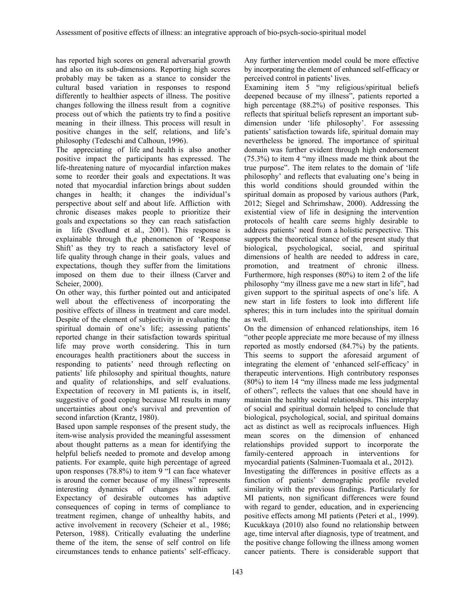has reported high scores on general adversarial growth and also on its sub-dimensions. Reporting high scores probably may be taken as a stance to consider the cultural based variation in responses to respond differently to healthier aspects of illness. The positive changes following the illness result from a cognitive process out of which the patients try to find a positive meaning in their illness. This process will result in positive changes in the self, relations, and life's philosophy (Tedeschi and Calhoun, 1996).

The appreciating of life and health is also another positive impact the participants has expressed. The life-threatening nature of myocardial infarction makes some to reorder their goals and expectations. It was noted that myocardial infarction brings about sudden changes in health; it changes the individual's perspective about self and about life. Affliction with chronic diseases makes people to prioritize their goals and expectations so they can reach satisfaction in life (Svedlund et al., 2001). This response is explainable through th,e phenomenon of 'Response Shift' as they try to reach a satisfactory level of life quality through change in their goals, values and expectations, though they suffer from the limitations imposed on them due to their illness (Carver and Scheier, 2000).

On other way, this further pointed out and anticipated well about the effectiveness of incorporating the positive effects of illness in treatment and care model. Despite of the element of subjectivity in evaluating the spiritual domain of one's life; assessing patients' reported change in their satisfaction towards spiritual life may prove worth considering. This in turn encourages health practitioners about the success in responding to patients' need through reflecting on patients' life philosophy and spiritual thoughts, nature and quality of relationships, and self evaluations. Expectation of recovery in MI patients is, in itself, suggestive of good coping because MI results in many uncertainties about one's survival and prevention of second infarction (Krantz, 1980).

Based upon sample responses of the present study, the item-wise analysis provided the meaningful assessment about thought patterns as a mean for identifying the helpful beliefs needed to promote and develop among patients. For example, quite high percentage of agreed upon responses (78.8%) to item 9 "I can face whatever is around the corner because of my illness" represents interesting dynamics of changes within self. Expectancy of desirable outcomes has adaptive consequences of coping in terms of compliance to treatment regimen, change of unhealthy habits, and active involvement in recovery (Scheier et al., 1986; Peterson, 1988). Critically evaluating the underline theme of the item, the sense of self control on life circumstances tends to enhance patients' self-efficacy.

Any further intervention model could be more effective by incorporating the element of enhanced self-efficacy or perceived control in patients' lives.

Examining item 5 "my religious/spiritual beliefs deepened because of my illness", patients reported a high percentage (88.2%) of positive responses. This reflects that spiritual beliefs represent an important subdimension under 'life philosophy'. For assessing patients' satisfaction towards life, spiritual domain may nevertheless be ignored. The importance of spiritual domain was further evident through high endorsement (75.3%) to item 4 "my illness made me think about the true purpose". The item relates to the domain of 'life philosophy' and reflects that evaluating one's being in this world conditions should grounded within the spiritual domain as proposed by various authors (Park, 2012; Siegel and Schrimshaw, 2000). Addressing the existential view of life in designing the intervention protocols of health care seems highly desirable to address patients' need from a holistic perspective. This supports the theoretical stance of the present study that biological, psychological, social, and spiritual dimensions of health are needed to address in care, promotion, and treatment of chronic illness. Furthermore, high responses (80%) to item 2 of the life philosophy "my illness gave me a new start in life", had given support to the spiritual aspects of one's life. A new start in life fosters to look into different life spheres; this in turn includes into the spiritual domain as well.

On the dimension of enhanced relationships, item 16 "other people appreciate me more because of my illness reported as mostly endorsed (84.7%) by the patients. This seems to support the aforesaid argument of integrating the element of 'enhanced self-efficacy' in therapeutic interventions. High contributory responses (80%) to item 14 "my illness made me less judgmental of others", reflects the values that one should have in maintain the healthy social relationships. This interplay of social and spiritual domain helped to conclude that biological, psychological, social, and spiritual domains act as distinct as well as reciprocals influences. High mean scores on the dimension of enhanced relationships provided support to incorporate the family-centered approach in interventions for myocardial patients (Salminen-Tuomaala et al., 2012).

Investigating the differences in positive effects as a function of patients' demographic profile reveled similarity with the previous findings. Particularly for MI patients, non significant differences were found with regard to gender, education, and in experiencing positive effects among MI patients (Peteri et al., 1999). Kucukkaya (2010) also found no relationship between age, time interval after diagnosis, type of treatment, and the positive change following the illness among women cancer patients. There is considerable support that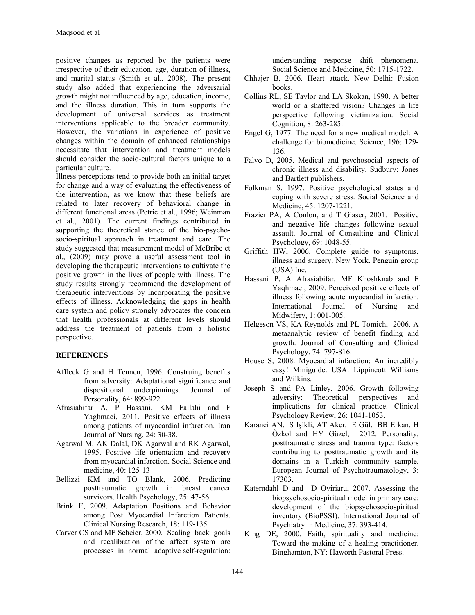positive changes as reported by the patients were irrespective of their education, age, duration of illness, and marital status (Smith et al., 2008). The present study also added that experiencing the adversarial growth might not influenced by age, education, income, and the illness duration. This in turn supports the development of universal services as treatment interventions applicable to the broader community. However, the variations in experience of positive changes within the domain of enhanced relationships necessitate that intervention and treatment models should consider the socio-cultural factors unique to a particular culture.

Illness perceptions tend to provide both an initial target for change and a way of evaluating the effectiveness of the intervention, as we know that these beliefs are related to later recovery of behavioral change in different functional areas (Petrie et al., 1996; Weinman et al., 2001). The current findings contributed in supporting the theoretical stance of the bio-psychosocio-spiritual approach in treatment and care. The study suggested that measurement model of McBribe et al., (2009) may prove a useful assessment tool in developing the therapeutic interventions to cultivate the positive growth in the lives of people with illness. The study results strongly recommend the development of therapeutic interventions by incorporating the positive effects of illness. Acknowledging the gaps in health care system and policy strongly advocates the concern that health professionals at different levels should address the treatment of patients from a holistic perspective.

#### **REFERENCES**

- Affleck G and H Tennen, 1996. Construing benefits from adversity: Adaptational significance and dispositional underpinnings. Journal of Personality, 64: 899-922.
- Afrasiabifar A, P Hassani, KM Fallahi and F Yaghmaei, 2011. Positive effects of illness among patients of myocardial infarction. Iran Journal of Nursing, 24: 30-38.
- Agarwal M, AK Dalal, DK Agarwal and RK Agarwal, 1995. Positive life orientation and recovery from myocardial infarction. Social Science and medicine, 40: 125-13
- Bellizzi KM and TO Blank, 2006. Predicting posttraumatic growth in breast cancer survivors. Health Psychology, 25: 47-56.
- Brink E, 2009. Adaptation Positions and Behavior among Post Myocardial Infarction Patients. Clinical Nursing Research, 18: 119-135.
- Carver CS and MF Scheier, 2000. Scaling back goals and recalibration of the affect system are processes in normal adaptive self-regulation:

understanding response shift phenomena. Social Science and Medicine, 50: 1715-1722.

- Chhajer B, 2006. Heart attack. New Delhi: Fusion books.
- Collins RL, SE Taylor and LA Skokan, 1990. A better world or a shattered vision? Changes in life perspective following victimization. Social Cognition, 8: 263-285.
- Engel G, 1977. The need for a new medical model: A challenge for biomedicine. Science, 196: 129- 136.
- Falvo D, 2005. Medical and psychosocial aspects of chronic illness and disability. Sudbury: Jones and Bartlett publishers.
- Folkman S, 1997. Positive psychological states and coping with severe stress. Social Science and Medicine, 45: 1207-1221.
- Frazier PA, A Conlon, and T Glaser, 2001. Positive and negative life changes following sexual assault. Journal of Consulting and Clinical Psychology, 69: 1048-55.
- Griffith HW, 2006. Complete guide to symptoms, illness and surgery. New York. Penguin group (USA) Inc.
- Hassani P, A Afrasiabifar, MF Khoshknab and F Yaqhmaei, 2009. Perceived positive effects of illness following acute myocardial infarction. International Journal of Nursing and Midwifery, 1: 001-005.
- Helgeson VS, KA Reynolds and PL Tomich, 2006. A metaanalytic review of benefit finding and growth. Journal of Consulting and Clinical Psychology, 74: 797-816.
- House S, 2008. Myocardial infarction: An incredibly easy! Miniguide. USA: Lippincott Williams and Wilkins.
- Joseph S and PA Linley, 2006. Growth following adversity: Theoretical perspectives and implications for clinical practice. Clinical Psychology Review, 26: 1041-1053.
- Karanci AN, S Işlkli, AT Aker, E Gül, BB Erkan, H Őzkol and HY Güzel, 2012. Personality, posttraumatic stress and trauma type: factors contributing to posttraumatic growth and its domains in a Turkish community sample. European Journal of Psychotraumatology, 3: 17303.
- Katerndahl D and D Oyiriaru, 2007. Assessing the biopsychosociospiritual model in primary care: development of the biopsychosociospiritual inventory (BioPSSI). International Journal of Psychiatry in Medicine, 37: 393-414.
- King DE, 2000. Faith, spirituality and medicine: Toward the making of a healing practitioner. Binghamton, NY: Haworth Pastoral Press.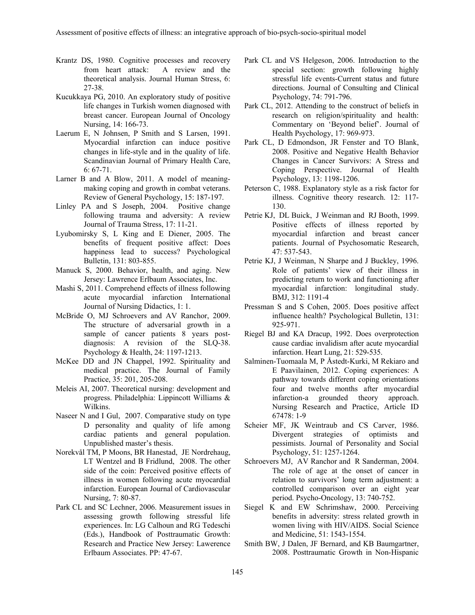- Krantz DS, 1980. Cognitive processes and recovery from heart attack: A review and the theoretical analysis. Journal Human Stress, 6: 27-38.
- Kucukkaya PG, 2010. An exploratory study of positive life changes in Turkish women diagnosed with breast cancer. European Journal of Oncology Nursing, 14: 166-73.
- Laerum E, N Johnsen, P Smith and S Larsen, 1991. Myocardial infarction can induce positive changes in life-style and in the quality of life. Scandinavian Journal of Primary Health Care, 6: 67-71.
- Larner B and A Blow, 2011. A model of meaningmaking coping and growth in combat veterans. Review of General Psychology, 15: 187-197.
- Linley PA and S Joseph, 2004. Positive change following trauma and adversity: A review Journal of Trauma Stress, 17: 11-21.
- Lyubomirsky S, L King and E Diener, 2005. The benefits of frequent positive affect: Does happiness lead to success? Psychological Bulletin, 131: 803-855.
- Manuck S, 2000. Behavior, health, and aging. New Jersey: Lawrence Erlbaum Associates, Inc.
- Mashi S, 2011. Comprehend effects of illness following acute myocardial infarction International Journal of Nursing Didactics, 1: 1.
- McBride O, MJ Schroevers and AV Ranchor, 2009. The structure of adversarial growth in a sample of cancer patients 8 years postdiagnosis: A revision of the SLQ-38. Psychology & Health, 24: 1197-1213.
- McKee DD and JN Chappel, 1992. Spirituality and medical practice. The Journal of Family Practice, 35: 201, 205-208.
- Meleis AI, 2007. Theoretical nursing: development and progress. Philadelphia: Lippincott Williams & Wilkins.
- Naseer N and I Gul, 2007. Comparative study on type D personality and quality of life among cardiac patients and general population. Unpublished master's thesis.
- Norekvål TM, P Moons, BR Hanestad, JE Nordrehaug, LT Wentzel and B Fridlund, 2008. The other side of the coin: Perceived positive effects of illness in women following acute myocardial infarction. European Journal of Cardiovascular Nursing, 7: 80-87.
- Park CL and SC Lechner, 2006. Measurement issues in assessing growth following stressful life experiences. In: LG Calhoun and RG Tedeschi (Eds.), Handbook of Posttraumatic Growth: Research and Practice New Jersey: Lawerence Erlbaum Associates. PP: 47-67.
- Park CL and VS Helgeson, 2006. Introduction to the special section: growth following highly stressful life events-Current status and future directions. Journal of Consulting and Clinical Psychology, 74: 791-796.
- Park CL, 2012. Attending to the construct of beliefs in research on religion/spirituality and health: Commentary on 'Beyond belief'. Journal of Health Psychology, 17: 969-973.
- Park CL, D Edmondson, JR Fenster and TO Blank, 2008. Positive and Negative Health Behavior Changes in Cancer Survivors: A Stress and Coping Perspective. Journal of Health Psychology, 13: 1198-1206.
- Peterson C, 1988. Explanatory style as a risk factor for illness. Cognitive theory research. 12: 117- 130.
- Petrie KJ, DL Buick, J Weinman and RJ Booth, 1999. Positive effects of illness reported by myocardial infarction and breast cancer patients. Journal of Psychosomatic Research, 47: 537-543.
- Petrie KJ, J Weinman, N Sharpe and J Buckley, 1996. Role of patients' view of their illness in predicting return to work and functioning after myocardial infarction: longitudinal study. BMJ, 312: 1191-4
- Pressman S and S Cohen, 2005. Does positive affect influence health? Psychological Bulletin, 131: 925-971.
- Riegel BJ and KA Dracup, 1992. Does overprotection cause cardiac invalidism after acute myocardial infarction. Heart Lung, 21: 529-535.
- Salminen-Tuomaala M, P Åstedt-Kurki, M Rekiaro and E Paavilainen, 2012. Coping experiences: A pathway towards different coping orientations four and twelve months after myocardial infarction-a grounded theory approach. Nursing Research and Practice, Article ID 67478: 1-9
- Scheier MF, JK Weintraub and CS Carver, 1986. Divergent strategies of optimists and pessimists. Journal of Personality and Social Psychology, 51: 1257-1264.
- Schroevers MJ, AV Ranchor and R Sanderman, 2004. The role of age at the onset of cancer in relation to survivors' long term adjustment: a controlled comparison over an eight year period. Psycho-Oncology, 13: 740-752.
- Siegel K and EW Schrimshaw, 2000. Perceiving benefits in adversity: stress related growth in women living with HIV/AIDS. Social Science and Medicine, 51: 1543-1554.
- Smith BW, J Dalen, JF Bernard, and KB Baumgartner, 2008. Posttraumatic Growth in Non-Hispanic